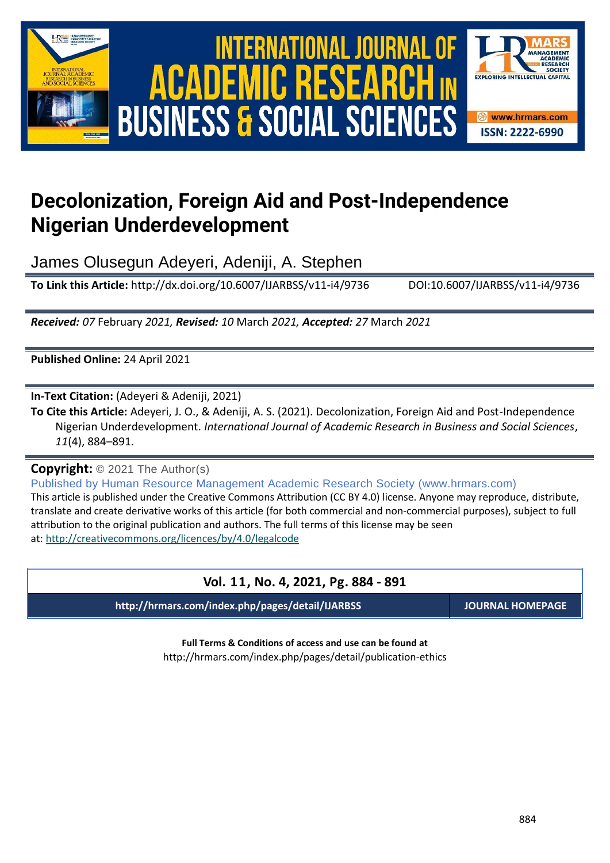

# International Journal of Academic Research in Business and Social Sciences **Vol. 1 1 , No. 4, 2021, E-ISSN: 2222-6990 © 2021 HRMARS ACADEMIC BUSINESS & SOCIAL SCIENCES**



## **Decolonization, Foreign Aid and Post-Independence Nigerian Underdevelopment**

James Olusegun Adeyeri, Adeniji, A. Stephen

**To Link this Article:** http://dx.doi.org/10.6007/IJARBSS/v11-i4/9736 DOI:10.6007/IJARBSS/v11-i4/9736

*Received: 07* February *2021, Revised: 10* March *2021, Accepted: 27* March *2021*

**Published Online:** 24 April 2021

**In-Text Citation:** (Adeyeri & Adeniji, 2021)

**To Cite this Article:** Adeyeri, J. O., & Adeniji, A. S. (2021). Decolonization, Foreign Aid and Post-Independence Nigerian Underdevelopment. *International Journal of Academic Research in Business and Social Sciences*, *11*(4), 884–891.

**Copyright:** © 2021 The Author(s)

Published by Human Resource Management Academic Research Society (www.hrmars.com) This article is published under the Creative Commons Attribution (CC BY 4.0) license. Anyone may reproduce, distribute, translate and create derivative works of this article (for both commercial and non-commercial purposes), subject to full attribution to the original publication and authors. The full terms of this license may be seen at: <http://creativecommons.org/licences/by/4.0/legalcode>

### **Vol. 11, No. 4, 2021, Pg. 884 - 891**

**http://hrmars.com/index.php/pages/detail/IJARBSS JOURNAL HOMEPAGE**

**Full Terms & Conditions of access and use can be found at** http://hrmars.com/index.php/pages/detail/publication-ethics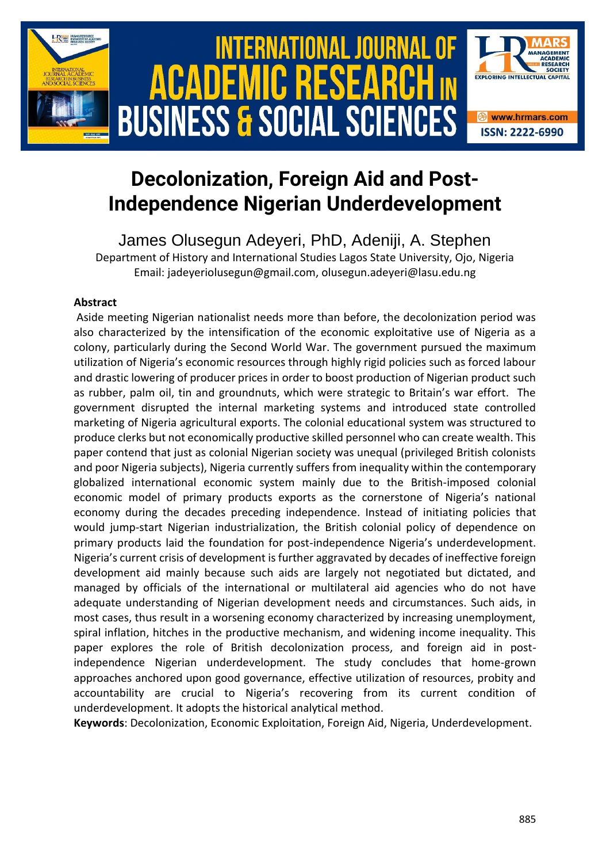

### **Decolonization, Foreign Aid and Post-Independence Nigerian Underdevelopment**

James Olusegun Adeyeri, PhD, Adeniji, A. Stephen Department of History and International Studies Lagos State University, Ojo, Nigeria Email: jadeyeriolusegun@gmail.com, olusegun.adeyeri@lasu.edu.ng

#### **Abstract**

Aside meeting Nigerian nationalist needs more than before, the decolonization period was also characterized by the intensification of the economic exploitative use of Nigeria as a colony, particularly during the Second World War. The government pursued the maximum utilization of Nigeria's economic resources through highly rigid policies such as forced labour and drastic lowering of producer prices in order to boost production of Nigerian product such as rubber, palm oil, tin and groundnuts, which were strategic to Britain's war effort. The government disrupted the internal marketing systems and introduced state controlled marketing of Nigeria agricultural exports. The colonial educational system was structured to produce clerks but not economically productive skilled personnel who can create wealth. This paper contend that just as colonial Nigerian society was unequal (privileged British colonists and poor Nigeria subjects), Nigeria currently suffers from inequality within the contemporary globalized international economic system mainly due to the British-imposed colonial economic model of primary products exports as the cornerstone of Nigeria's national economy during the decades preceding independence. Instead of initiating policies that would jump-start Nigerian industrialization, the British colonial policy of dependence on primary products laid the foundation for post-independence Nigeria's underdevelopment. Nigeria's current crisis of development is further aggravated by decades of ineffective foreign development aid mainly because such aids are largely not negotiated but dictated, and managed by officials of the international or multilateral aid agencies who do not have adequate understanding of Nigerian development needs and circumstances. Such aids, in most cases, thus result in a worsening economy characterized by increasing unemployment, spiral inflation, hitches in the productive mechanism, and widening income inequality. This paper explores the role of British decolonization process, and foreign aid in postindependence Nigerian underdevelopment. The study concludes that home-grown approaches anchored upon good governance, effective utilization of resources, probity and accountability are crucial to Nigeria's recovering from its current condition of underdevelopment. It adopts the historical analytical method.

**Keywords**: Decolonization, Economic Exploitation, Foreign Aid, Nigeria, Underdevelopment.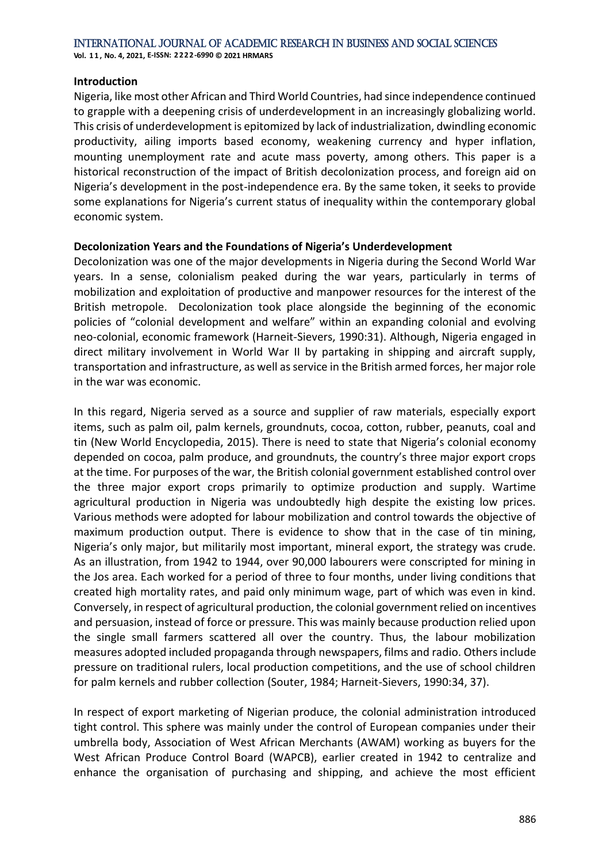#### **Introduction**

Nigeria, like most other African and Third World Countries, had since independence continued to grapple with a deepening crisis of underdevelopment in an increasingly globalizing world. This crisis of underdevelopment is epitomized by lack of industrialization, dwindling economic productivity, ailing imports based economy, weakening currency and hyper inflation, mounting unemployment rate and acute mass poverty, among others. This paper is a historical reconstruction of the impact of British decolonization process, and foreign aid on Nigeria's development in the post-independence era. By the same token, it seeks to provide some explanations for Nigeria's current status of inequality within the contemporary global economic system.

#### **Decolonization Years and the Foundations of Nigeria's Underdevelopment**

Decolonization was one of the major developments in Nigeria during the Second World War years. In a sense, colonialism peaked during the war years, particularly in terms of mobilization and exploitation of productive and manpower resources for the interest of the British metropole. Decolonization took place alongside the beginning of the economic policies of "colonial development and welfare" within an expanding colonial and evolving neo-colonial, economic framework (Harneit-Sievers, 1990:31). Although, Nigeria engaged in direct military involvement in World War II by partaking in shipping and aircraft supply, transportation and infrastructure, as well as service in the British armed forces, her major role in the war was economic.

In this regard, Nigeria served as a source and supplier of raw materials, especially export items, such as palm oil, palm kernels, groundnuts, cocoa, cotton, rubber, peanuts, coal and tin (New World Encyclopedia, 2015). There is need to state that Nigeria's colonial economy depended on cocoa, palm produce, and groundnuts, the country's three major export crops at the time. For purposes of the war, the British colonial government established control over the three major export crops primarily to optimize production and supply. Wartime agricultural production in Nigeria was undoubtedly high despite the existing low prices. Various methods were adopted for labour mobilization and control towards the objective of maximum production output. There is evidence to show that in the case of tin mining, Nigeria's only major, but militarily most important, mineral export, the strategy was crude. As an illustration, from 1942 to 1944, over 90,000 labourers were conscripted for mining in the Jos area. Each worked for a period of three to four months, under living conditions that created high mortality rates, and paid only minimum wage, part of which was even in kind. Conversely, in respect of agricultural production, the colonial government relied on incentives and persuasion, instead of force or pressure. This was mainly because production relied upon the single small farmers scattered all over the country. Thus, the labour mobilization measures adopted included propaganda through newspapers, films and radio. Others include pressure on traditional rulers, local production competitions, and the use of school children for palm kernels and rubber collection (Souter, 1984; Harneit-Sievers, 1990:34, 37).

In respect of export marketing of Nigerian produce, the colonial administration introduced tight control. This sphere was mainly under the control of European companies under their umbrella body, Association of West African Merchants (AWAM) working as buyers for the West African Produce Control Board (WAPCB), earlier created in 1942 to centralize and enhance the organisation of purchasing and shipping, and achieve the most efficient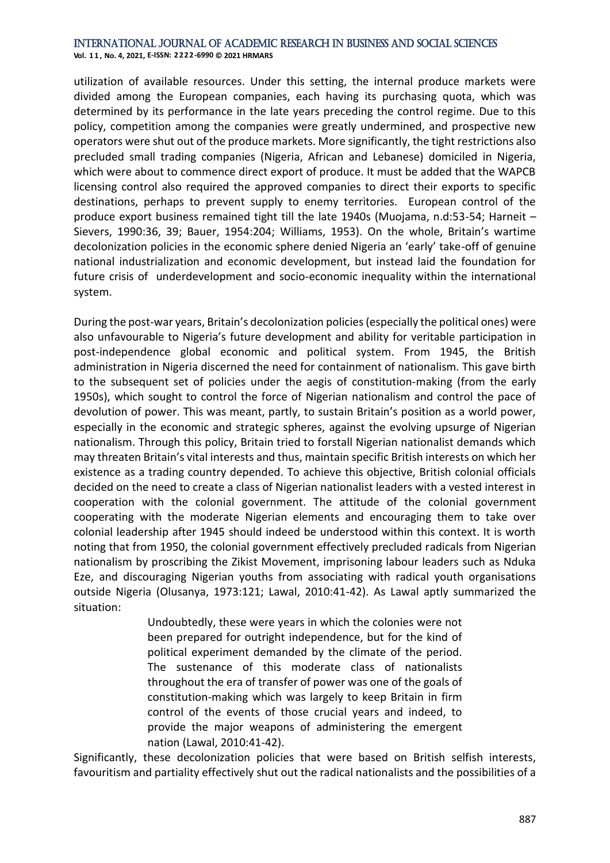**Vol. 1 1 , No. 4, 2021, E-ISSN: 2222-6990 © 2021 HRMARS**

utilization of available resources. Under this setting, the internal produce markets were divided among the European companies, each having its purchasing quota, which was determined by its performance in the late years preceding the control regime. Due to this policy, competition among the companies were greatly undermined, and prospective new operators were shut out of the produce markets. More significantly, the tight restrictions also precluded small trading companies (Nigeria, African and Lebanese) domiciled in Nigeria, which were about to commence direct export of produce. It must be added that the WAPCB licensing control also required the approved companies to direct their exports to specific destinations, perhaps to prevent supply to enemy territories. European control of the produce export business remained tight till the late 1940s (Muojama, n.d:53-54; Harneit – Sievers, 1990:36, 39; Bauer, 1954:204; Williams, 1953). On the whole, Britain's wartime decolonization policies in the economic sphere denied Nigeria an 'early' take-off of genuine national industrialization and economic development, but instead laid the foundation for future crisis of underdevelopment and socio-economic inequality within the international system.

During the post-war years, Britain's decolonization policies (especially the political ones) were also unfavourable to Nigeria's future development and ability for veritable participation in post-independence global economic and political system. From 1945, the British administration in Nigeria discerned the need for containment of nationalism. This gave birth to the subsequent set of policies under the aegis of constitution-making (from the early 1950s), which sought to control the force of Nigerian nationalism and control the pace of devolution of power. This was meant, partly, to sustain Britain's position as a world power, especially in the economic and strategic spheres, against the evolving upsurge of Nigerian nationalism. Through this policy, Britain tried to forstall Nigerian nationalist demands which may threaten Britain's vital interests and thus, maintain specific British interests on which her existence as a trading country depended. To achieve this objective, British colonial officials decided on the need to create a class of Nigerian nationalist leaders with a vested interest in cooperation with the colonial government. The attitude of the colonial government cooperating with the moderate Nigerian elements and encouraging them to take over colonial leadership after 1945 should indeed be understood within this context. It is worth noting that from 1950, the colonial government effectively precluded radicals from Nigerian nationalism by proscribing the Zikist Movement, imprisoning labour leaders such as Nduka Eze, and discouraging Nigerian youths from associating with radical youth organisations outside Nigeria (Olusanya, 1973:121; Lawal, 2010:41-42). As Lawal aptly summarized the situation:

> Undoubtedly, these were years in which the colonies were not been prepared for outright independence, but for the kind of political experiment demanded by the climate of the period. The sustenance of this moderate class of nationalists throughout the era of transfer of power was one of the goals of constitution-making which was largely to keep Britain in firm control of the events of those crucial years and indeed, to provide the major weapons of administering the emergent nation (Lawal, 2010:41-42).

Significantly, these decolonization policies that were based on British selfish interests, favouritism and partiality effectively shut out the radical nationalists and the possibilities of a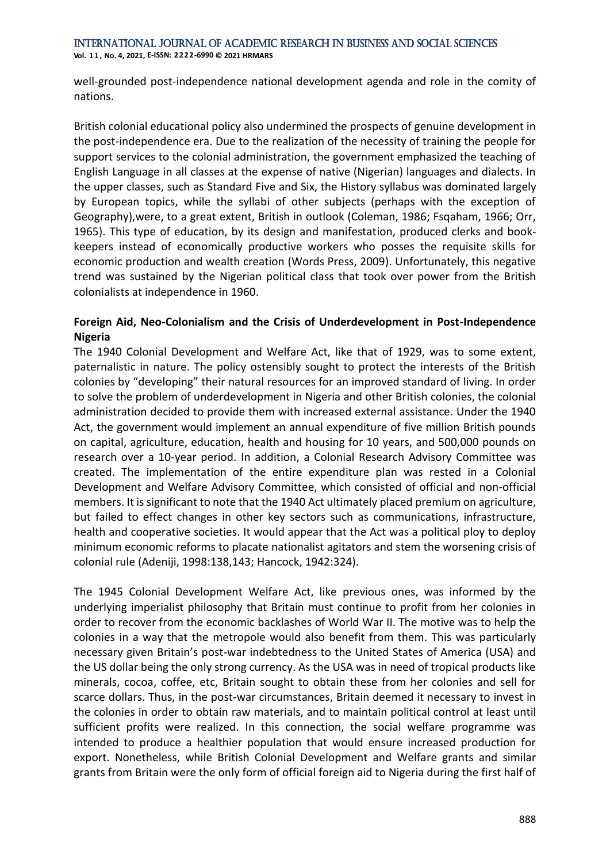**Vol. 1 1 , No. 4, 2021, E-ISSN: 2222-6990 © 2021 HRMARS**

well-grounded post-independence national development agenda and role in the comity of nations.

British colonial educational policy also undermined the prospects of genuine development in the post-independence era. Due to the realization of the necessity of training the people for support services to the colonial administration, the government emphasized the teaching of English Language in all classes at the expense of native (Nigerian) languages and dialects. In the upper classes, such as Standard Five and Six, the History syllabus was dominated largely by European topics, while the syllabi of other subjects (perhaps with the exception of Geography),were, to a great extent, British in outlook (Coleman, 1986; Fsqaham, 1966; Orr, 1965). This type of education, by its design and manifestation, produced clerks and bookkeepers instead of economically productive workers who posses the requisite skills for economic production and wealth creation (Words Press, 2009). Unfortunately, this negative trend was sustained by the Nigerian political class that took over power from the British colonialists at independence in 1960.

#### **Foreign Aid, Neo-Colonialism and the Crisis of Underdevelopment in Post-Independence Nigeria**

The 1940 Colonial Development and Welfare Act, like that of 1929, was to some extent, paternalistic in nature. The policy ostensibly sought to protect the interests of the British colonies by "developing" their natural resources for an improved standard of living. In order to solve the problem of underdevelopment in Nigeria and other British colonies, the colonial administration decided to provide them with increased external assistance. Under the 1940 Act, the government would implement an annual expenditure of five million British pounds on capital, agriculture, education, health and housing for 10 years, and 500,000 pounds on research over a 10-year period. In addition, a Colonial Research Advisory Committee was created. The implementation of the entire expenditure plan was rested in a Colonial Development and Welfare Advisory Committee, which consisted of official and non-official members. It is significant to note that the 1940 Act ultimately placed premium on agriculture, but failed to effect changes in other key sectors such as communications, infrastructure, health and cooperative societies. It would appear that the Act was a political ploy to deploy minimum economic reforms to placate nationalist agitators and stem the worsening crisis of colonial rule (Adeniji, 1998:138,143; Hancock, 1942:324).

The 1945 Colonial Development Welfare Act, like previous ones, was informed by the underlying imperialist philosophy that Britain must continue to profit from her colonies in order to recover from the economic backlashes of World War II. The motive was to help the colonies in a way that the metropole would also benefit from them. This was particularly necessary given Britain's post-war indebtedness to the United States of America (USA) and the US dollar being the only strong currency. As the USA was in need of tropical products like minerals, cocoa, coffee, etc, Britain sought to obtain these from her colonies and sell for scarce dollars. Thus, in the post-war circumstances, Britain deemed it necessary to invest in the colonies in order to obtain raw materials, and to maintain political control at least until sufficient profits were realized. In this connection, the social welfare programme was intended to produce a healthier population that would ensure increased production for export. Nonetheless, while British Colonial Development and Welfare grants and similar grants from Britain were the only form of official foreign aid to Nigeria during the first half of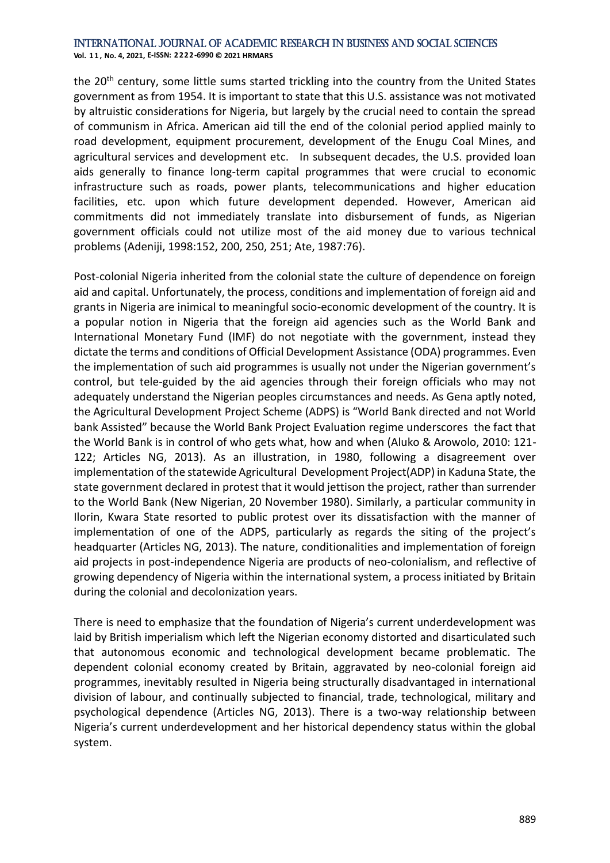**Vol. 1 1 , No. 4, 2021, E-ISSN: 2222-6990 © 2021 HRMARS**

the 20<sup>th</sup> century, some little sums started trickling into the country from the United States government as from 1954. It is important to state that this U.S. assistance was not motivated by altruistic considerations for Nigeria, but largely by the crucial need to contain the spread of communism in Africa. American aid till the end of the colonial period applied mainly to road development, equipment procurement, development of the Enugu Coal Mines, and agricultural services and development etc. In subsequent decades, the U.S. provided loan aids generally to finance long-term capital programmes that were crucial to economic infrastructure such as roads, power plants, telecommunications and higher education facilities, etc. upon which future development depended. However, American aid commitments did not immediately translate into disbursement of funds, as Nigerian government officials could not utilize most of the aid money due to various technical problems (Adeniji, 1998:152, 200, 250, 251; Ate, 1987:76).

Post-colonial Nigeria inherited from the colonial state the culture of dependence on foreign aid and capital. Unfortunately, the process, conditions and implementation of foreign aid and grants in Nigeria are inimical to meaningful socio-economic development of the country. It is a popular notion in Nigeria that the foreign aid agencies such as the World Bank and International Monetary Fund (IMF) do not negotiate with the government, instead they dictate the terms and conditions of Official Development Assistance (ODA) programmes. Even the implementation of such aid programmes is usually not under the Nigerian government's control, but tele-guided by the aid agencies through their foreign officials who may not adequately understand the Nigerian peoples circumstances and needs. As Gena aptly noted, the Agricultural Development Project Scheme (ADPS) is "World Bank directed and not World bank Assisted" because the World Bank Project Evaluation regime underscores the fact that the World Bank is in control of who gets what, how and when (Aluko & Arowolo, 2010: 121- 122; Articles NG, 2013). As an illustration, in 1980, following a disagreement over implementation of the statewide Agricultural Development Project(ADP) in Kaduna State, the state government declared in protest that it would jettison the project, rather than surrender to the World Bank (New Nigerian, 20 November 1980). Similarly, a particular community in Ilorin, Kwara State resorted to public protest over its dissatisfaction with the manner of implementation of one of the ADPS, particularly as regards the siting of the project's headquarter (Articles NG, 2013). The nature, conditionalities and implementation of foreign aid projects in post-independence Nigeria are products of neo-colonialism, and reflective of growing dependency of Nigeria within the international system, a process initiated by Britain during the colonial and decolonization years.

There is need to emphasize that the foundation of Nigeria's current underdevelopment was laid by British imperialism which left the Nigerian economy distorted and disarticulated such that autonomous economic and technological development became problematic. The dependent colonial economy created by Britain, aggravated by neo-colonial foreign aid programmes, inevitably resulted in Nigeria being structurally disadvantaged in international division of labour, and continually subjected to financial, trade, technological, military and psychological dependence (Articles NG, 2013). There is a two-way relationship between Nigeria's current underdevelopment and her historical dependency status within the global system.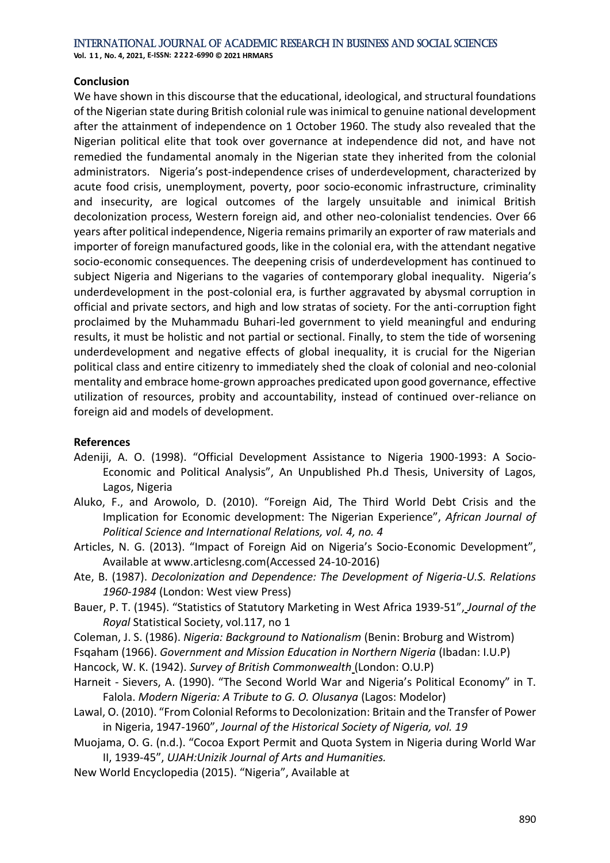#### **Conclusion**

We have shown in this discourse that the educational, ideological, and structural foundations of the Nigerian state during British colonial rule was inimical to genuine national development after the attainment of independence on 1 October 1960. The study also revealed that the Nigerian political elite that took over governance at independence did not, and have not remedied the fundamental anomaly in the Nigerian state they inherited from the colonial administrators. Nigeria's post-independence crises of underdevelopment, characterized by acute food crisis, unemployment, poverty, poor socio-economic infrastructure, criminality and insecurity, are logical outcomes of the largely unsuitable and inimical British decolonization process, Western foreign aid, and other neo-colonialist tendencies. Over 66 years after political independence, Nigeria remains primarily an exporter of raw materials and importer of foreign manufactured goods, like in the colonial era, with the attendant negative socio-economic consequences. The deepening crisis of underdevelopment has continued to subject Nigeria and Nigerians to the vagaries of contemporary global inequality. Nigeria's underdevelopment in the post-colonial era, is further aggravated by abysmal corruption in official and private sectors, and high and low stratas of society. For the anti-corruption fight proclaimed by the Muhammadu Buhari-led government to yield meaningful and enduring results, it must be holistic and not partial or sectional. Finally, to stem the tide of worsening underdevelopment and negative effects of global inequality, it is crucial for the Nigerian political class and entire citizenry to immediately shed the cloak of colonial and neo-colonial mentality and embrace home-grown approaches predicated upon good governance, effective utilization of resources, probity and accountability, instead of continued over-reliance on foreign aid and models of development.

#### **References**

- Adeniji, A. O. (1998). "Official Development Assistance to Nigeria 1900-1993: A Socio-Economic and Political Analysis", An Unpublished Ph.d Thesis, University of Lagos, Lagos, Nigeria
- Aluko, F., and Arowolo, D. (2010). "Foreign Aid, The Third World Debt Crisis and the Implication for Economic development: The Nigerian Experience", *African Journal of Political Science and International Relations, vol. 4, no. 4*
- Articles, N. G. (2013). "Impact of Foreign Aid on Nigeria's Socio-Economic Development", Available at www.articlesng.com(Accessed 24-10-2016)
- Ate, B. (1987). *Decolonization and Dependence: The Development of Nigeria-U.S. Relations 1960-1984* (London: West view Press)
- Bauer, P. T. (1945). "Statistics of Statutory Marketing in West Africa 1939-51", *Journal of the Royal* Statistical Society, vol.117, no 1
- Coleman, J. S. (1986). *Nigeria: Background to Nationalism* (Benin: Broburg and Wistrom)
- Fsqaham (1966). *Government and Mission Education in Northern Nigeria* (Ibadan: I.U.P)
- Hancock, W. K. (1942). *Survey of British Commonwealth* (London: O.U.P)
- Harneit Sievers, A. (1990). "The Second World War and Nigeria's Political Economy" in T. Falola. *Modern Nigeria: A Tribute to G. O. Olusanya* (Lagos: Modelor)
- Lawal, O. (2010). "From Colonial Reforms to Decolonization: Britain and the Transfer of Power in Nigeria, 1947-1960", *Journal of the Historical Society of Nigeria, vol. 19*
- Muojama, O. G. (n.d.). "Cocoa Export Permit and Quota System in Nigeria during World War II, 1939-45", *UJAH:Unizik Journal of Arts and Humanities.*
- New World Encyclopedia (2015). "Nigeria", Available at